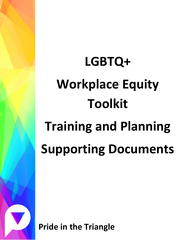# **LGBTQ+ Workplace Equity Toolkit Training and Planning Supporting Documents**

**Pride in the Triangle**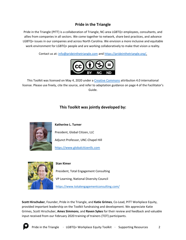## **Pride in the Triangle**

Pride in the Triangle (PITT) is a collaboration of Triangle, NC-area LGBTQ+ employees, consultants, and allies from companies in all sectors. We come together to network, share best practices, and advance LGBTQ+ issues in our companies and across North Carolina. We envision a more inclusive and equitable work environment for LGBTQ+ people and are working collaboratively to make that vision a reality.

Contact us at: [info@prideinthetriangle.com](mailto:info@prideinthetriangle.com) and [https://prideinthetriangle.org/.](https://prideinthetriangle.org/)



This Toolkit was licensed on May 4, 2020 under a [Creative Commons](https://creativecommons.org/) attribution 4.0 international license. Please use freely, cite the source, and refer to adaptation guidance on page 4 of the Facilitator's Guide.

## **This Toolkit was jointly developed by:**



**Katherine L. Turner**

President, Global Citizen, LLC

Adjunct Professor, UNC-Chapel Hill

[https://www.globalcitizenllc.com](https://www.globalcitizenllc.com/)



#### **Stan Kimer**

President, Total Engagement Consulting

VP Learning, National Diversity Council

<https://www.totalengagementconsulting.com/>

**Scott Hirschuber**, Founder, Pride in the Triangle, and **Katie Grimes**, Co-Lead, PITT Workplace Equity, provided important leadership on the Toolkit fundraising and development. We appreciate Katie Grimes, Scott Hirschuber, **Ames Simmons**, and **Raven Sykes** for their review and feedback and valuable input received from our February 2020 training of trainers (TOT) participants.

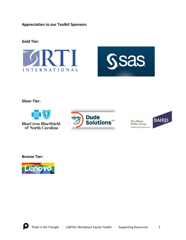**Appreciation to our Toolkit Sponsors**

#### **Gold Tier:**





**Silver Tier:**



**BlueCross BlueShield** of North Carolina



The Allman **Bobbie Group** theallmanbobbiegroup.com



**Bronze Tier:**

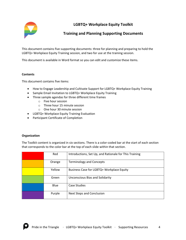

## **LGBTQ+ Workplace Equity Toolkit**

### **Training and Planning Supporting Documents**

This document contains five supporting documents: three for planning and preparing to hold the LGBTQ+ Workplace Equity Training session, and two for use at the training session.

This document is available in Word format so you can edit and customize these items.

#### **Contents**

This document contains five items:

- How to Engage Leadership and Cultivate Support for LGBTQ+ Workplace Equity Training
- Sample Email Invitation to LGBTQ+ Workplace Equity Training
- Three sample agendas for three different time frames
	- o Five hour session
	- o Three hour 15 minute session
	- o One hour 30 minute session
- LGBTQ+ Workplace Equity Training Evaluation
- Participant Certificate of Completion

#### **Organization**

The Toolkit content is organized in six sections. There is a color-coded bar at the start of each section that corresponds to the color bar at the top of each slide within that section.

| Red    | Introductions, Set Up, and Rationale for This Training |
|--------|--------------------------------------------------------|
| Orange | <b>Terminology and Concepts</b>                        |
| Yellow | Business Case for LGBTQ+ Workplace Equity              |
| Green  | Unconscious Bias and Solidarity                        |
| Blue   | Case Studies                                           |
| Purple | <b>Next Steps and Conclusion</b>                       |

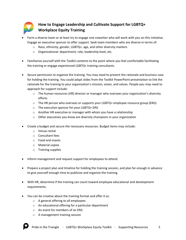

## **How to Engage Leadership and Cultivate Support for LGBTQ+ Workplace Equity Training**

- Form a diverse team or at least try to engage one coworker who will work with you on this initiative. Engage an executive sponsor to offer support. Seek team members who are diverse in terms of:
	- o Race, ethnicity, gender, LGBTQ+, age, and other diversity markers
	- o Organizational: department, role, leadership level, etc.
- Familiarize yourself with the Toolkit contents to the point where you feel comfortable facilitating the training or engage experienced LGBTQ+ training consultants.
- Secure permission to organize the training. You may need to present the rationale and business case for holding the training. You could adapt slides from the Toolkit PowerPoint presentation to link the rationale for the training to your organization's mission, vision, and values. People you may need to approach for support include:
	- $\circ$  The human resources (HR) director or manager who oversees your organization's diversity efforts
	- o The HR person who oversees or supports your LGBTQ+ employee resource group (ERG)
	- o The executive sponsor for your LGBTQ+ ERG
	- o Another HR executive or manager with whom you have a relationship
	- o Other executives you know are diversity champions in your organization
- Create a budget and secure the necessary resources. Budget items may include:
	- o Venue rental
	- o Consultant fees
	- o Food and snacks
	- o Material copies
	- o Training supplies
- Inform management and request support for employees to attend.
- Prepare a project plan and timeline for holding the training session, and plan far enough in advance to give yourself enough time to publicize and organize the training.
- With HR, determine if the training can count toward employee educational and development requirements.
- You can be creative about the training format and offer it as:
	- o A general offering to all employees
	- o An educational offering for a particular department
	- o An event for members of an ERG
	- o A management training session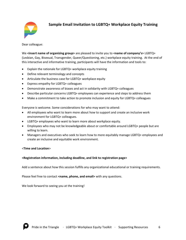

## **Sample Email Invitation to LGBTQ+ Workplace Equity Training**

Dear colleague:

We **<insert name of organizing group>** are pleased to invite you to **<name of company's>** LGBTQ+ (Lesbian, Gay, Bisexual, Transgender, Queer/Questioning, etc.) workplace equity training. At the end of this interactive and informative training, participants will have the information and tools to:

- Explain the rationale for LGBTQ+ workplace equity training
- Define relevant terminology and concepts
- Articulate the business case for LGBTQ+ workplace equity
- Express empathy for LGBTQ+ colleagues
- Demonstrate awareness of biases and act in solidarity with LGBTQ+ colleagues
- Describe particular concerns LGBTQ+ employees can experience and steps to address them
- Make a commitment to take action to promote inclusion and equity for LGBTQ+ colleagues

Everyone is welcome. Some considerations for who may want to attend:

- All employees who want to learn more about how to support and create an inclusive work environment for LGBTQ+ colleagues.
- LGBTQ+ employees who want to learn more about workplace equity.
- Employees who may not be knowledgeable about or comfortable around LGBTQ+ people but are willing to learn.
- Managers and executives who seek to learn how to more equitably manage LGBTQ+ employees and create an inclusive and equitable work environment.

#### <**Time and Location**>

#### **<Registration information, including deadline, and link to registration page>**

Add a sentence about how this session fulfills any organizational educational or training requirements.

Please feel free to contact <name, phone, and email> with any questions.

We look forward to seeing you at the training!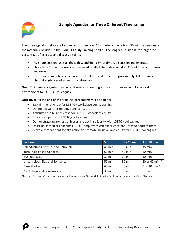## **Sample Agendas for Three Different Timeframes**



The three agendas below are for five hour, three hour 15 minute, and one hour 30 minute versions of the materials included in the LGBTQ+ Equity Training Toolkit. The longer a session is, the larger the percentage of exercise and discussion time.

- Five hour session: uses all the slides, and  $60 65%$  of time is discussion and exercises
- Three hour 15 minute session: uses most or all of the slides, and 40 45% of time is discussion and exercises
- One hour 30 minute session: uses a subset of the slides and approximately 30% of time is discussion (delivered in person or virtually)

**Goal**: To increase organizational effectiveness by creating a more inclusive and equitable work environment for LGBTQ+ colleagues.

**Objectives**: At the end of this training, participants will be able to:

- Explain the rationale for LGBTQ+ workplace equity training
- Define relevant terminology and concepts
- Articulate the business case for LGBTQ+ workplace equity
- Express empathy for LGBTQ+ colleagues
- Demonstrate awareness of biases and act in solidarity with LGBTQ+ colleagues
- Describe particular concerns LGBTQ+ employees can experience and steps to address them
- Make a commitment to take action to promote inclusion and equity for LGBTQ+ colleagues

| Section                                | 5 <sub>hr</sub>  | 3 hr 15 min      | 1 hr 30 min      |
|----------------------------------------|------------------|------------------|------------------|
| Introductions, Set Up, and Rationale   | 40 min           | $30 \text{ min}$ | $15 \text{ min}$ |
| <b>Terminology and Concepts</b>        | 50 min           | 40 min           | $20 \text{ min}$ |
| <b>Business Case</b>                   | $30 \text{ min}$ | $20 \text{ min}$ | $10 \text{ min}$ |
| <b>Unconscious Bias and Solidarity</b> | 50 min           | 30 min           | 20 or 40 min *   |
| <b>Case Studies</b>                    | 60 min           | 40 min           | 0 or 20 min *    |
| <b>Next Steps and Conclusions</b>      | 30 min           | 20 min           | 5 min            |

\*Include Difficult Conversations in the Unconscious Bias and Solidarity Section or include the Case Studies.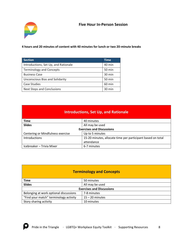#### **Five Hour In-Person Session**



**4 hours and 20 minutes of content with 40 minutes for lunch or two 20-minute breaks**

| <b>Section</b>                         | <b>Time</b> |
|----------------------------------------|-------------|
| Introductions, Set Up, and Rationale   | 40 min      |
| <b>Terminology and Concepts</b>        | 50 min      |
| <b>Business Case</b>                   | 30 min      |
| <b>Unconscious Bias and Solidarity</b> | 50 min      |
| <b>Case Studies</b>                    | 60 min      |
| <b>Next Steps and Conclusions</b>      | 30 min      |

| <b>Introductions, Set Up, and Rationale</b>          |                                                             |  |
|------------------------------------------------------|-------------------------------------------------------------|--|
| <b>Time</b>                                          | 40 minutes                                                  |  |
| <b>Slides</b>                                        | All may be used                                             |  |
| <b>Exercises and Discussions</b>                     |                                                             |  |
| Centering or Mindfulness exercise<br>Up to 5 minutes |                                                             |  |
| Introductions                                        | 15-20 minutes, allocate time per participant based on total |  |
|                                                      | attendance                                                  |  |
| Icebreaker - Trivia Mixer                            | 6-7 minutes                                                 |  |

|  |  | <b>Terminology and Concepts</b> |  |
|--|--|---------------------------------|--|
|  |  |                                 |  |

| <b>Time</b>                            | 50 minutes        |  |
|----------------------------------------|-------------------|--|
| <b>Slides</b>                          | All may be used   |  |
| <b>Exercises and Discussions</b>       |                   |  |
| Belonging at work optional discussions | 7-8 minutes       |  |
| "Find your match" terminology activity | $15 - 20$ minutes |  |
| Story sharing activity                 | 10 minutes        |  |

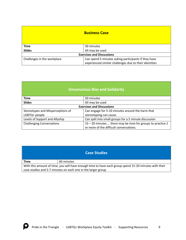|                             | <b>Business Case</b>                                   |
|-----------------------------|--------------------------------------------------------|
| <b>Time</b>                 | 30 minutes                                             |
| <b>Slides</b>               | All may be used                                        |
|                             | <b>Exercises and Discussions</b>                       |
| Challenges in the workplace | Can spend 5 minutes asking participants if they have   |
|                             | experienced similar challenges due to their identities |

## **Unconscious Bias and Solidarity**

| <b>Time</b>                       | 50 minutes                                                    |
|-----------------------------------|---------------------------------------------------------------|
| <b>Slides</b>                     | All may be used                                               |
|                                   | <b>Exercises and Discussions</b>                              |
| Stereotypes and Misperceptions of | Can engage for 5-10 minutes around the harm that              |
| LGBTQ+ people                     | stereotyping can cause.                                       |
| Levels of Support and Allyship    | Can split into small groups for a 5 minute discussion         |
| <b>Challenging Conversations</b>  | $15 - 20$ minutes  there may be time for groups to practice 2 |
|                                   | or more of the difficult conversations.                       |

| <b>Case Studies</b>                                                                                                                                                   |            |  |
|-----------------------------------------------------------------------------------------------------------------------------------------------------------------------|------------|--|
| <b>Time</b>                                                                                                                                                           | 60 minutes |  |
| With this amount of time, you will have enough time to have each group spend 15-20 minutes with their<br>case studies and 5-7 minutes on each one in the larger group |            |  |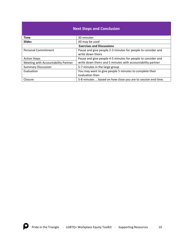| <b>Next Steps and Conclusion</b>    |                                                              |  |
|-------------------------------------|--------------------------------------------------------------|--|
| <b>Time</b>                         | 30 minutes                                                   |  |
| <b>Slides</b>                       | All may be used                                              |  |
| <b>Exercises and Discussions</b>    |                                                              |  |
| <b>Personal Commitment</b>          | Pause and give people 2-3 minutes for people to consider and |  |
|                                     | write down theirs                                            |  |
| <b>Action Steps</b>                 | Pause and give people 4-5 minutes for people to consider and |  |
| Meeting with Accountability Partner | write down theirs and 5 minutes with accountability partner  |  |
| <b>Summary Discussion</b>           | 5-7 minutes in the large group                               |  |
| Evaluation                          | You may want to give people 5 minutes to complete their      |  |
|                                     | evaluation then                                              |  |
| Closure                             | 5-8 minutes  based on how close you are to session end time. |  |

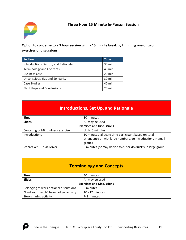

### **Option to condense to a 3 hour session with a 15 minute break by trimming one or two exercises or discussions.**

| <b>Section</b>                         | <b>Time</b>      |
|----------------------------------------|------------------|
| Introductions, Set Up, and Rationale   | 30 min           |
| <b>Terminology and Concepts</b>        | 40 min           |
| <b>Business Case</b>                   | 20 min           |
| <b>Unconscious Bias and Solidarity</b> | 30 min           |
| <b>Case Studies</b>                    | 40 min           |
| <b>Next Steps and Conclusions</b>      | $20 \text{ min}$ |

## **Introductions, Set Up, and Rationale**

| Time                              | 30 minutes                                                    |
|-----------------------------------|---------------------------------------------------------------|
| <b>Slides</b>                     | All may be used                                               |
|                                   | <b>Exercises and Discussions</b>                              |
| Centering or Mindfulness exercise | Up to 5 minutes                                               |
| <b>Introductions</b>              | 10 minutes, allocate time participant based on total          |
|                                   | attendance or with large numbers, do introductions in small   |
|                                   | groups                                                        |
| Icebreaker - Trivia Mixer         | 5 minutes (or may decide to cut or do quickly in large group) |

## **Terminology and Concepts**

| Time                                   | 40 minutes        |  |  |
|----------------------------------------|-------------------|--|--|
| <b>Slides</b>                          | All may be used   |  |  |
| <b>Exercises and Discussions</b>       |                   |  |  |
| Belonging at work optional discussions | 5 minutes         |  |  |
| "Find your match" terminology activity | $10 - 12$ minutes |  |  |
| Story sharing activity                 | 7-8 minutes       |  |  |

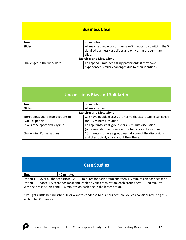| <b>Business Case</b>             |                                                                 |  |  |
|----------------------------------|-----------------------------------------------------------------|--|--|
| <b>Time</b>                      | 20 minutes                                                      |  |  |
| <b>Slides</b>                    | All may be used $-$ or you can save 5 minutes by omitting the 5 |  |  |
|                                  | detailed business case slides and only using the summary        |  |  |
|                                  | slide.                                                          |  |  |
| <b>Exercises and Discussions</b> |                                                                 |  |  |
| Challenges in the workplace      | Can spend 5 minutes asking participants if they have            |  |  |
|                                  | experienced similar challenges due to their identities          |  |  |

| <b>Unconscious Bias and Solidarity</b>             |                                                                                                                  |  |  |
|----------------------------------------------------|------------------------------------------------------------------------------------------------------------------|--|--|
| <b>Time</b>                                        | 30 minutes                                                                                                       |  |  |
| <b>Slides</b>                                      | All may be used                                                                                                  |  |  |
| <b>Exercises and Discussions</b>                   |                                                                                                                  |  |  |
| Stereotypes and Misperceptions of<br>LGBTQ+ people | Can have people discuss the harms that sterotyping can cause<br>for 4-5 minutes ** OR**                          |  |  |
| Levels of Support and Allyship                     | Can split into small groups for a 5 minute discussion<br>(only enough time for one of the two above discussions) |  |  |
| <b>Challenging Conversations</b>                   | 10 minutes  have a group each do one of the discussions<br>and then quickly share about the others.              |  |  |

## **Case Studies**

#### **Time** 40 minutes

Option 1: Cover all the scenarios: 12 – 13 minutes for each group and then 4-5 minutes on each scenario. Option 2: Choose 4-5 scenarios most applicable to your organization, each groups gets 15 -20 minutes with their case studies and 5- 6 minutes on each one in the larger group.

If you get a little behind schedule or want to condense to a 3-hour session, you can consider reducing this section to 30 minutes

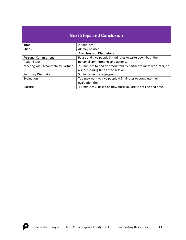| <b>Next Steps and Conclusion</b>    |                                                                      |  |  |
|-------------------------------------|----------------------------------------------------------------------|--|--|
| <b>Time</b>                         | 20 minutes                                                           |  |  |
| <b>Slides</b>                       | All may be used                                                      |  |  |
| <b>Exercises and Discussions</b>    |                                                                      |  |  |
| <b>Personal Commitment</b>          | Pause and give people 3-4 minutes to write down both their           |  |  |
| <b>Action Steps</b>                 | personal commitments and actions.                                    |  |  |
| Meeting with Accountability Partner | 2-3 minutes to find an accountability partner to meet with later, or |  |  |
|                                     | a short sharing time at the session                                  |  |  |
| <b>Summary Discussion</b>           | 5 minutes in the large group                                         |  |  |
| Evaluation                          | You may want to give people 4-5 minutes to complete their            |  |  |
|                                     | evaluation then                                                      |  |  |
| Closure                             | 4-5 minutes  based on how close you are to session end time.         |  |  |

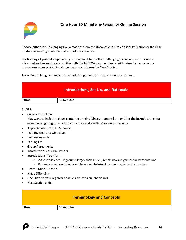

## **One Hour 30 Minute In-Person or Online Session**

Choose either the Challenging Conversations from the Unconscious Bias / Solidarity Section or the Case Studies depending upon the make up of the audience.

For training of general employees, you may want to use the challenging conversations. For more advanced audiences already familiar with the LGBTQ+ communities or with primarily managers or human resources professionals, you may want to use the Case Studies.

For online training, you may want to solicit input in the chat box from time to time.

| <b>Introductions, Set Up, and Rationale</b> |            |  |  |
|---------------------------------------------|------------|--|--|
| <b>Time</b>                                 | 15 minutes |  |  |

#### **SLIDES:**

- Cover / Intro Slide May want to include a short centering or mindfulness moment here or after the introductions, for example, a lighting of an actual or virtual candle with 30 seconds of silence
- Appreciation to Toolkit Sponsors
- Training Goal and Objectives
- Training Agenda
- Parking Lot
- Group Agreements
- Introduction: Your Facilitators
- Introductions: Your Turn
	- $\circ$  20 seconds each if group is larger than 15 -20, break into sub groups for introductions
	- $\circ$  For web-based sessions, could have people introduce themselves in the chat box
- Heart Mind Action
- Naïve Offending
- One Slide on your organizational vision, mission, and values
- Next Section Slide

| <b>Terminology and Concepts</b> |            |  |  |
|---------------------------------|------------|--|--|
| <b>Time</b>                     | 20 minutes |  |  |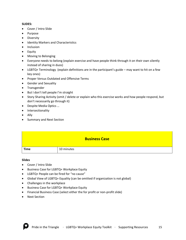#### **SLIDES:**

- Cover / Intro Slide
- Purpose
- Diversity
- Identity Markers and Characteristics
- Inclusion
- Equity
- Moving to Belonging
- Everyone needs to belong (explain exercise and have people think through it on their own silently instead of sharing in duos)
- LGBTQ+ Terminology (explain definitions are in the participant's guide may want to hit on a few key ones)
- Proper Versus Outdated and Offensive Terms
- Gender and Sexuality
- Transgender
- But I don't tell people I'm straight
- Story Sharing Activity (omit / delete or explain who this exercise works and how people respond, but don't necessarily go through it)
- Despite Media Optics …
- Intersectionality
- Ally
- Summary and Next Section

| <b>Business Case</b> |            |  |  |
|----------------------|------------|--|--|
| <b>Time</b>          | 10 minutes |  |  |

#### **Slides**

- Cover / Intro Slide
- Business Case for LGBTQ+ Workplace Equity
- LGBTQ+ People can be fired for "no cause"
- Global View of LGBTQ+ Equality (can be omitted if organization is not global)
- Challenges in the workplace
- Business Case for LGBTQ+ Workplace Equity
- Financial Business Case (select either the for profit or non-profit slide)
- Next Section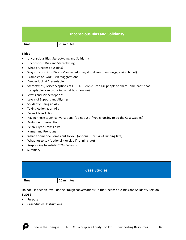|             | <b>Unconscious Bias and Solidarity</b> |  |  |  |
|-------------|----------------------------------------|--|--|--|
| <b>Time</b> | 20 minutes                             |  |  |  |

#### **Slides**

- Unconscious Bias, Stereotyping and Solidarity
- Unconscious Bias and Stereotyping
- What is Unconscious Bias?
- Ways Unconscious Bias is Manifested (may skip down to microaggression bullet)
- Examples of LGBTQ Microaggressions
- Deeper look at Stereotyping
- Stereotypes / Misconceptions of LGBTQ+ People (can ask people to share some harm that stereptyping can cause into chat box if online)
- Myths and Misperceptions
- Levels of Support and Allyship
- Solidarity: Being an Ally
- Taking Action as an Ally
- Be an Ally in Action!
- Having those tough conversations (do not use if you choosing to do the Case Studies)
- Bystander Intervention
- Be an Ally to Trans Folks
- Names and Pronouns
- What if Someone Comes out to you (optional or skip if running late)
- What not to say (optional or skip if running late)
- Responding to anti-LGBTQ+ Behavior
- Summary

| <b>Case Studies</b> |            |  |  |  |
|---------------------|------------|--|--|--|
| <b>Time</b>         | 20 minutes |  |  |  |

Do not use section if you do the "tough conversations" in the Unconscious Bias and Solidarity Section. **SLIDES**

- Purpose
- Case Studies: Instructions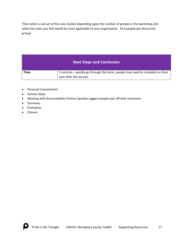Then select a sub set of the case studies depending upon the number of people in the workshop and select the ones you feel would be most applicable to your organization. (4-6 people per discussion group)

### **Next Steps and Conclusion**

| <b>Time</b> | 5 minutes – quickly go through the items, people may need to complete on their |
|-------------|--------------------------------------------------------------------------------|
|             | own after the session.                                                         |

- Personal Commitment
- Actions Steps
- Meeting with Accountability Partner (quickly suggest people pair off with someone)
- Summary
- Evaluation
- Closure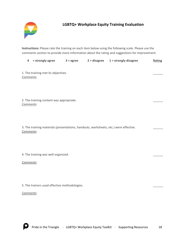

## **LGBTQ+ Workplace Equity Training Evaluation**

**Instructions:** Please rate the training on each item below using the following scale. Please use the comments section to provide more information about the rating and suggestions for improvement.

|  | $4 =$ strongly agree | $3 = \text{agree}$ | $2 =$ disagree | $1 =$ strongly disagree | Rating |
|--|----------------------|--------------------|----------------|-------------------------|--------|
|--|----------------------|--------------------|----------------|-------------------------|--------|

1. The training met its objectives. *Comments:*

2. The training content was appropriate. *Comments:*

3. The training materials (presentations, handouts, worksheets, etc.) were effective. *Comments:*

4. The training was well organized.

*Comments:*

5. The trainers used effective methodologies.

*Comments:*

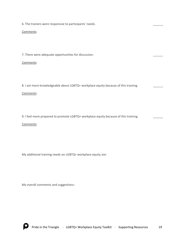6. The trainers were responsive to participants' needs.

#### *Comments:*

7. There were adequate opportunities for discussion.

#### *Comments:*

8. I am more knowledgeable about LGBTQ+ workplace equity because of this training.

#### *Comments:*

9. I feel more prepared to promote LGBTQ+ workplace equity because of this training.

#### *Comments:*

My additional training needs on LGBTQ+ workplace equity are:

My overall comments and suggestions:

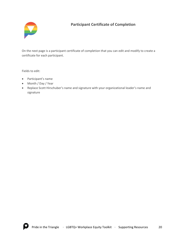

## **Participant Certificate of Completion**

On the next page is a participant certificate of completion that you can edit and modify to create a certificate for each participant.

Fields to edit:

- Participant's name
- Month / Day / Year
- Replace Scott Hirschuber's name and signature with your organizational leader's name and signature